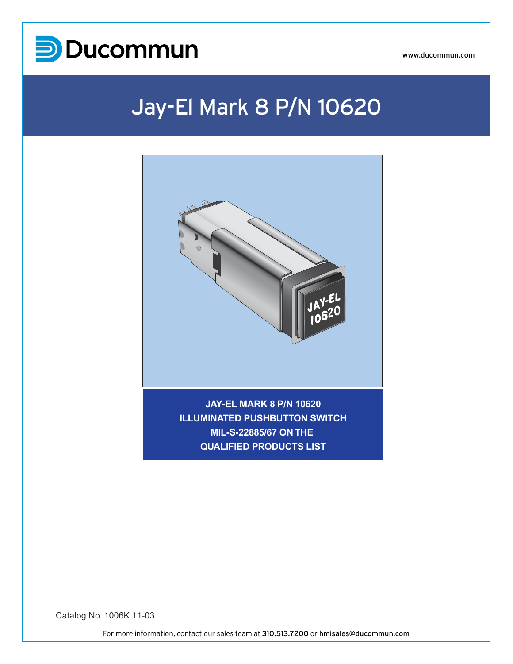

## Jay-El Mark 8 P/N 10620



**JAY-EL MARK 8 P/N 10620 ILLUMINATED PUSHBUTTON SWITCH MIL-S-22885/67 ON THE QUALIFIED PRODUCTS LIST**

Catalog No. 1006K 11-03

For more information, contact our sales team at 310.513.7200 or hmisales@ducommun.com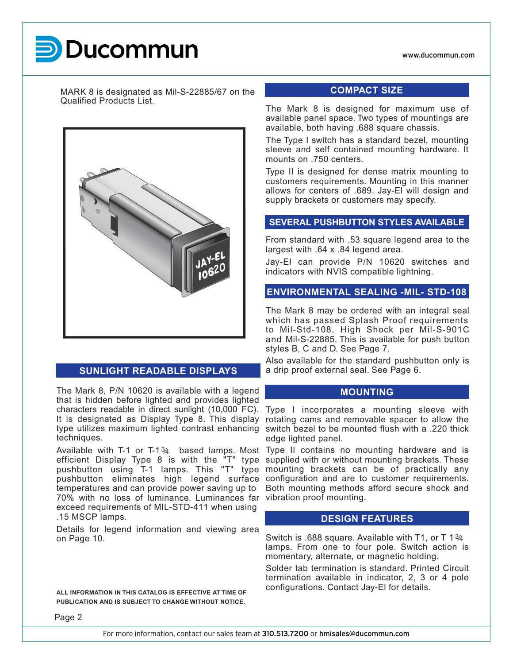# **UCOM**

MARK 8 is designated as Mil-S-22885/67 on the Qualified Products List.



#### **SUNLIGHT READABLE DISPLAYS**

The Mark 8, P/N 10620 is available with a legend that is hidden before lighted and provides lighted It is designated as Display Type 8. This display techniques.

efficient Display Type 8 is with the "T" type pushbutton using T-1 lamps. This "T" type temperatures and can provide power saving up to 70% with no loss of luminance. Luminances far vibration proof mounting. exceed requirements of MIL-STD-411 when using .15 MSCP lamps.

Details for legend information and viewing area on Page 10.

**PUBLICATION AND IS SUBJECT TO CHANGE WITHOUT NOTICE.**

#### **COMPACT SIZE**

The Mark 8 is designed for maximum use of available panel space. Two types of mountings are available, both having .688 square chassis.

The Type I switch has a standard bezel, mounting sleeve and self contained mounting hardware. It mounts on .750 centers.

Type II is designed for dense matrix mounting to customers requirements. Mounting in this manner allows for centers of .689. Jay-El will design and supply brackets or customers may specify.

#### **SEVERAL PUSHBUTTON STYLES AVAILABLE**

From standard with .53 square legend area to the largest with .64 x .84 legend area.

Jay-El can provide P/N 10620 switches and indicators with NVIS compatible lightning.

#### **ENVIRONMENTAL SEALING -MIL- STD-108**

The Mark 8 may be ordered with an integral seal which has passed Splash Proof requirements to Mil-Std-108, High Shock per Mil-S-901C and Mil-S-22885. This is available for push button styles B, C and D. See Page 7.

Also available for the standard pushbutton only is a drip proof external seal. See Page 6.

#### **MOUNTING**

characters readable in direct sunlight (10,000 FC). Type I incorporates a mounting sleeve with type utilizes maximum lighted contrast enhancing switch bezel to be mounted flush with a .220 thick rotating cams and removable spacer to allow the edge lighted panel.

Available with T-1 or T-1 $\frac{3}{4}$  based lamps. Most Type II contains no mounting hardware and is pushbutton eliminates high legend surface configuration and are to customer requirements. supplied with or without mounting brackets. These mounting brackets can be of practically any Both mounting methods afford secure shock and

#### **DESIGN FEATURES**

Switch is .688 square. Available with T1, or T 1 $\frac{3}{4}$ lamps. From one to four pole. Switch action is momentary, alternate, or magnetic holding.

Solder tab termination is standard. Printed Circuit termination available in indicator, 2, 3 or 4 pole configurations. Contact Jay-El for details. **ALL INFORMATION IN THIS CATALOG IS EFFECTIVE AT TIME OF** 

Page 2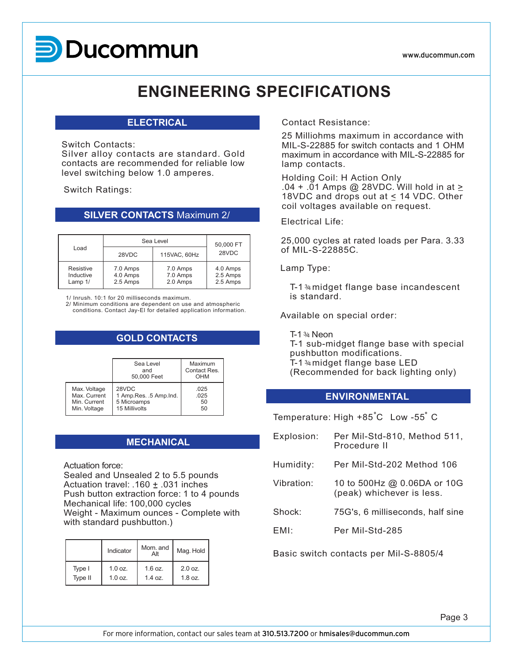# **UCOM**

## **ENGINEERING SPECIFICATIONS**

#### **ELECTRICAL**

#### Switch Contacts:

Silver alloy contacts are standard. Gold contacts are recommended for reliable low level switching below 1.0 amperes.

Switch Ratings:

#### **SILVER CONTACTS** Maximum 2/

|                                   | Sea Level                        | 50,000 FT                        |                                  |  |
|-----------------------------------|----------------------------------|----------------------------------|----------------------------------|--|
| Load<br>28VDC                     |                                  | 115VAC, 60Hz                     | 28VDC                            |  |
| Resistive<br>Inductive<br>Lamp 1/ | 7.0 Amps<br>4.0 Amps<br>2.5 Amps | 7.0 Amps<br>7.0 Amps<br>2.0 Amps | 4.0 Amps<br>2.5 Amps<br>2.5 Amps |  |

1/ Inrush. 10:1 for 20 milliseconds maximum.

2/ Minimum conditions are dependent on use and atmospheric conditions. Contact Jay-El for detailed application information.

### **GOLD CONTACTS**

|              | Sea Level<br>and<br>50,000 Feet | Maximum<br>Contact Res.<br>OHM |
|--------------|---------------------------------|--------------------------------|
| Max. Voltage | 28VDC                           | .025                           |
| Max. Current | 1 Amp.Res. .5 Amp.Ind.          | .025                           |
| Min. Current | 5 Microamps                     | 50                             |
| Min. Voltage | 15 Millivolts                   | 50                             |

### **MECHANICAL**

Actuation force:

Sealed and Unsealed 2 to 5.5 pounds Actuation travel: .160  $\pm$  .031 inches Push button extraction force: 1 to 4 pounds Mechanical life: 100,000 cycles Weight - Maximum ounces - Complete with with standard pushbutton.)

|         | Indicator | Mom. and  | Mag. Hold |  |  |
|---------|-----------|-----------|-----------|--|--|
| Type I  | 1.0 oz.   | $1.6$ oz. | 2.0 oz.   |  |  |
| Type II | 1.0 oz.   | 1.4 oz.   | $1.8$ oz. |  |  |

Contact Resistance:

25 Milliohms maximum in accordance with MIL-S-22885 for switch contacts and 1 OHM maximum in accordance with MIL-S-22885 for lamp contacts.

Holding Coil: H Action Only  $.04 + .01$  Amps @ 28VDC. Will hold in at  $\ge$ 18VDC and drops out at < 14 VDC. Other coil voltages available on request.

Electrical Life:

25,000 cycles at rated loads per Para. 3.33 of MIL-S-22885C.

Lamp Type:

T-1 % midget flange base incandescent is standard.

Available on special order:

T-1 $34$  Neon T-1 sub-midget flange base with special pushbutton modifications. T-1 $34$  midget flange base LED (Recommended for back lighting only)

### **ENVIRONMENTAL**

Temperature: High +85°C Low -55°C

| Explosion: | Per Mil-Std-810, Method 511,<br>Procedure II             |
|------------|----------------------------------------------------------|
| Humidity:  | Per Mil-Std-202 Method 106                               |
| Vibration: | 10 to 500Hz @ 0.06DA or 10G<br>(peak) whichever is less. |
| Shock:     | 75G's, 6 milliseconds, half sine                         |
| EML        | Per Mil-Std-285                                          |
|            |                                                          |

Basic switch contacts per Mil-S-8805/4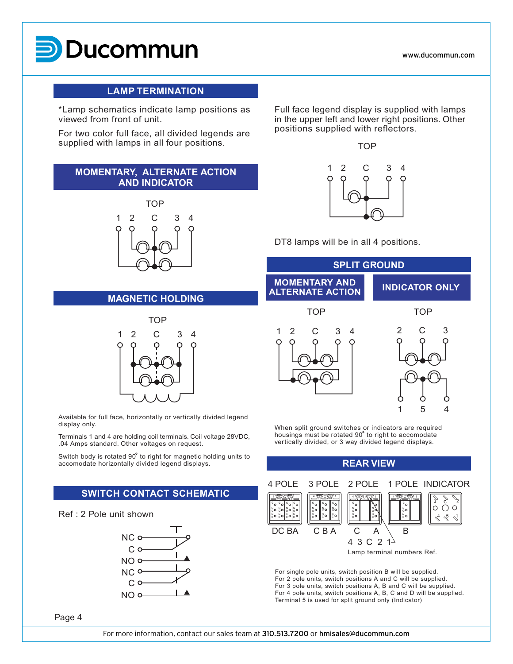# **UCOM**

www.ducommun.com

#### **LAMP TERMINATION**

\*Lamp schematics indicate lamp positions as viewed from front of unit.

For two color full face, all divided legends are supplied with lamps in all four positions.

### **MOMENTARY, ALTERNATE ACTION AND INDICATOR**



#### **MAGNETIC HOLDING**



Available for full face, horizontally or vertically divided legend display only.

Terminals 1 and 4 are holding coil terminals. Coil voltage 28VDC, .04 Amps standard. Other voltages on request.

Switch body is rotated 90° to right for magnetic holding units to accomodate horizontally divided legend displays.

### **SWITCH CONTACT SCHEMATIC**

#### Ref : 2 Pole unit shown



Full face legend display is supplied with lamps in the upper left and lower right positions. Other positions supplied with reflectors.



DT8 lamps will be in all 4 positions.



When split ground switches or indicators are required housings must be rotated 90<sup>°</sup> to right to accomodate vertically divided, or 3 way divided legend displays.



For single pole units, switch position B will be supplied. For 2 pole units, switch positions A and C will be supplied. For 3 pole units, switch positions A, B and C will be supplied. For 4 pole units, switch positions A, B, C and D will be supplied. Terminal 5 is used for split ground only (Indicator)

Page 4

For more information, contact our sales team at 310.513.7200 or hmisales@ducommun.com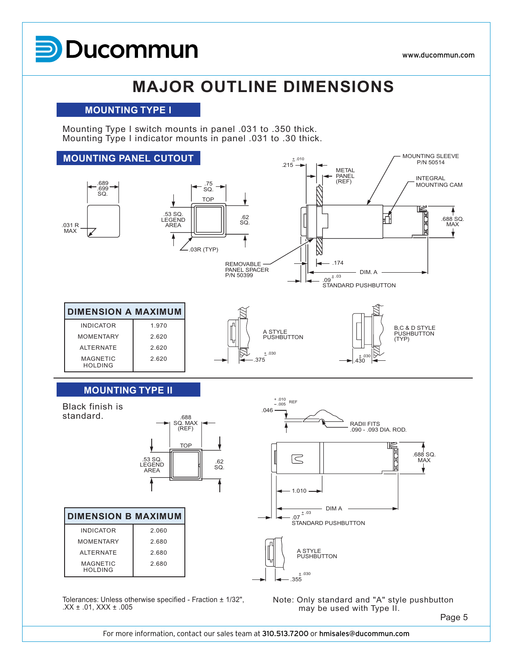# **UCOM**

## **MAJOR OUTLINE DIMENSIONS**

#### **MOUNTING TYPE I**

Mounting Type I switch mounts in panel .031 to .350 thick. Mounting Type I indicator mounts in panel .031 to .30 thick.



 $.XX \pm .01$ ,  $XXX \pm .005$ 

Note: Only standard and "A" style pushbutton may be used with Type II.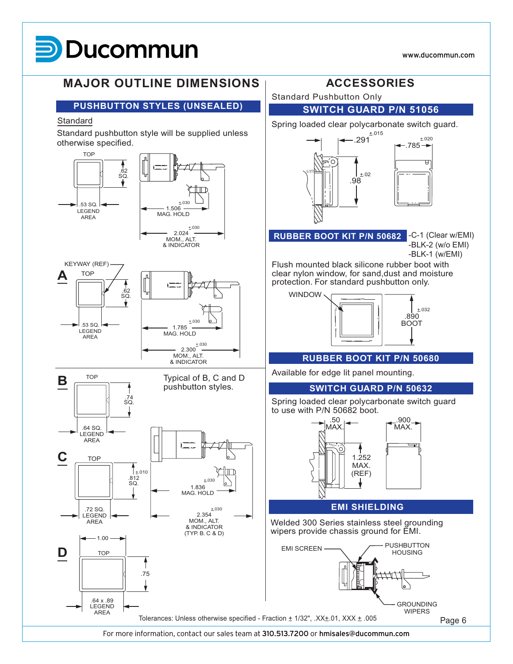## **MARK 8 UCOM**

 $±.020$ 

ਸ਼

 $±.032$ 

#### +.030  $±.030$ +.030  $^{+.030}_{-}$  $±.030$  $64$  SQ. LEGEND AREA .74 SQ.  $\mathbf{B} \equiv$ 1.785 MAG. HOLD 1.506 MAG. HOLD 2.024 MOM., ALT. & INDICATOR MOM., ALT. & INDICATOR .812  $SO<sub>2</sub>$ TOP  $\pm.010$ **C** Standard pushbutton style will be supplied unless otherwise specified. **Standard** Standard Pushbutton Only **PUSHBUTTON STYLES (UNSEALED)** .291 .98  $-.785 -$ +.02  $±.015$ Spring loaded clear polycarbonate switch guard. **SWITCH GUARD P/N 51056** .890 BOOT WINDOW -C-1 (Clear w/EMI) -BLK-2 (w/o EMI) -BLK-1 (w/EMI) Flush mounted black silicone rubber boot with clear nylon window, for sand,dust and moisture protection. For standard pushbutton only. **RUBBER BOOT KIT P/N 50682** Available for edge lit panel mounting. **RUBBER BOOT KIT P/N 50680** .50 **MAX** .900 MAX. 1.252 MAX. (REF) Spring loaded clear polycarbonate switch guard to use with P/N 50682 boot. Typical of B, C and D **SWITCH GUARD P/N 50632 MAJOR OUTLINE DIMENSIONS ACCESSORIES** .53 SQ. LEGEND AREA .62 SQ. **TOP** KEYWAY (REF) .53 SQ. LEGEND AREA .62 SQ. **A** TOP

 $±.030$ 

1.836 MAG. HOLD

.72 SQ. LEGEND AREA

**D** TOP

.64 x .89 LEGEND AREA

 $-1.00$ 

2.354 MOM., ALT. & INDICATOR

#### **EMI SHIELDING**

Welded 300 Series stainless steel grounding wipers provide chassis ground for EMI.

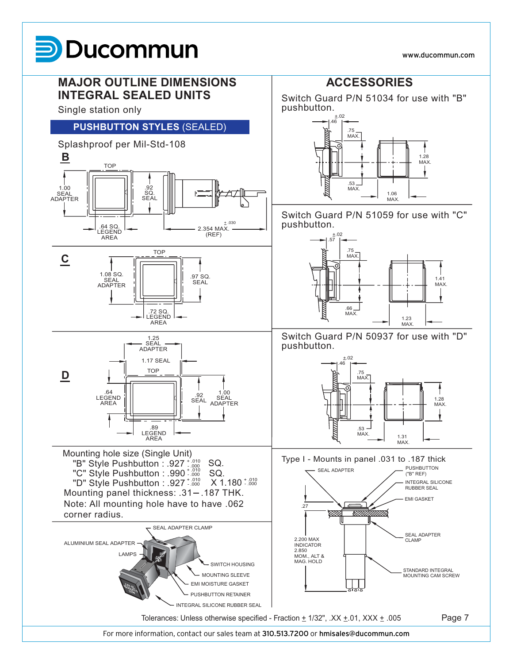# **UCOM**

www.ducommun.com

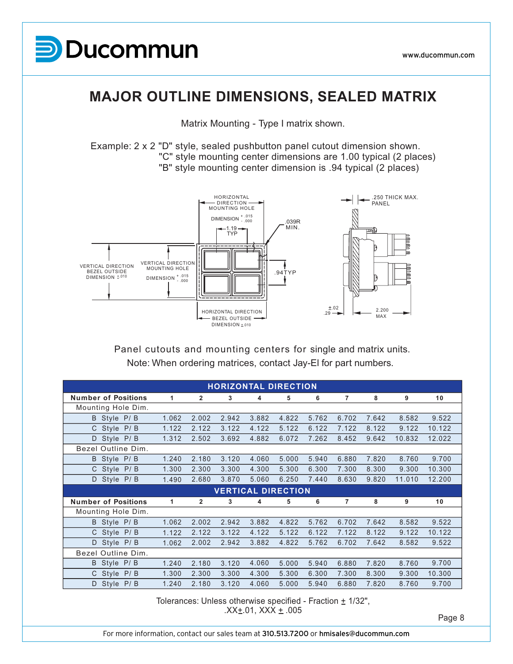

### **MAJOR OUTLINE DIMENSIONS, SEALED MATRIX**

Matrix Mounting - Type I matrix shown.

Example: 2 x 2 "D" style, sealed pushbutton panel cutout dimension shown. "C" style mounting center dimensions are 1.00 typical (2 places) "B" style mounting center dimension is .94 typical (2 places)



Note: When ordering matrices, contact Jay-El for part numbers. Panel cutouts and mounting centers for single and matrix units.

|                            |       |              |       | <b>HORIZONTAL DIRECTION</b> |       |       |                |       |        |        |
|----------------------------|-------|--------------|-------|-----------------------------|-------|-------|----------------|-------|--------|--------|
| <b>Number of Positions</b> | 1     | $\mathbf{2}$ | 3     | 4                           | 5     | 6     | $\overline{7}$ | 8     | 9      | 10     |
| Mounting Hole Dim.         |       |              |       |                             |       |       |                |       |        |        |
| B Style P/B                | 1.062 | 2.002        | 2.942 | 3.882                       | 4.822 | 5.762 | 6.702          | 7.642 | 8.582  | 9.522  |
| P/B<br>C Style             | 1.122 | 2.122        | 3.122 | 4.122                       | 5.122 | 6.122 | 7.122          | 8.122 | 9.122  | 10.122 |
| D Style P/B                | 1.312 | 2.502        | 3.692 | 4.882                       | 6.072 | 7.262 | 8.452          | 9.642 | 10.832 | 12.022 |
| Bezel Outline Dim.         |       |              |       |                             |       |       |                |       |        |        |
| B Style P/B                | 1.240 | 2.180        | 3.120 | 4.060                       | 5.000 | 5.940 | 6.880          | 7.820 | 8.760  | 9.700  |
| C Style P/B                | 1.300 | 2.300        | 3.300 | 4.300                       | 5.300 | 6.300 | 7.300          | 8.300 | 9.300  | 10.300 |
| D Style P/B                | 1.490 | 2.680        | 3.870 | 5.060                       | 6.250 | 7.440 | 8.630          | 9.820 | 11.010 | 12.200 |
| <b>VERTICAL DIRECTION</b>  |       |              |       |                             |       |       |                |       |        |        |
|                            |       |              |       |                             |       |       |                |       |        |        |
| <b>Number of Positions</b> | 1     | 2            | 3     | 4                           | 5     | 6     | 7              | 8     | 9      | 10     |
| Mounting Hole Dim.         |       |              |       |                             |       |       |                |       |        |        |
| B Style P/B                | 1.062 | 2.002        | 2.942 | 3.882                       | 4.822 | 5.762 | 6.702          | 7.642 | 8.582  | 9.522  |
| C Style P/B                | 1.122 | 2.122        | 3.122 | 4.122                       | 5.122 | 6.122 | 7.122          | 8.122 | 9.122  | 10.122 |
| D Style P/B                | 1.062 | 2.002        | 2.942 | 3.882                       | 4.822 | 5.762 | 6.702          | 7.642 | 8.582  | 9.522  |
| Bezel Outline Dim.         |       |              |       |                             |       |       |                |       |        |        |
| B Style P/B                | 1.240 | 2.180        | 3.120 | 4.060                       | 5.000 | 5.940 | 6.880          | 7.820 | 8.760  | 9.700  |
| C Style P/B                | 1.300 | 2.300        | 3.300 | 4.300                       | 5.300 | 6.300 | 7.300          | 8.300 | 9.300  | 10.300 |

Tolerances: Unless otherwise specified - Fraction  $\pm$  1/32", .XX±.01, XXX ± .005<br>Page 8

For more information, contact our sales team at 310.513.7200 or hmisales@ducommun.com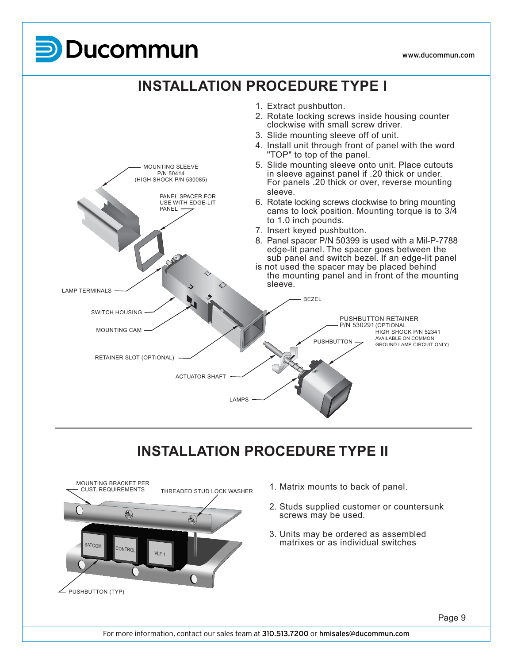## **UCOM**



## **INSTALLATION PROCEDURE TYPE II**



- 1. Matrix mounts to back of panel.
- 2. Studs supplied customer or countersunk screws may be used.
- 3. Units may be ordered as assembled matrixes or as individual switches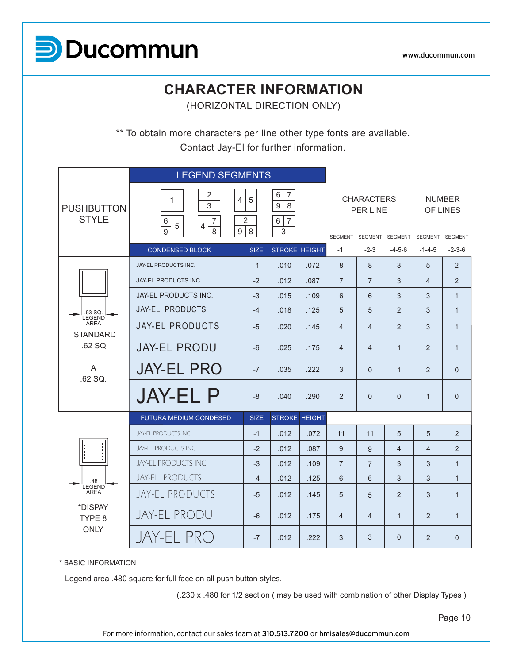

## **CHARACTER INFORMATION**

(HORIZONTAL DIRECTION ONLY)

\*\* To obtain more characters per line other type fonts are available. Contact Jay-El for further information.

|                                                  | <b>LEGEND SEGMENTS</b>                                                                                        |                          |                                           |      |                         |                                      |                |                 |                           |
|--------------------------------------------------|---------------------------------------------------------------------------------------------------------------|--------------------------|-------------------------------------------|------|-------------------------|--------------------------------------|----------------|-----------------|---------------------------|
| <b>PUSHBUTTON</b><br><b>STYLE</b>                | 2<br>1<br>$\overline{4}$<br>3<br>$\,6\,$<br>$\overline{7}$<br>$\overline{4}$<br>5<br>$\overline{9}$<br>9<br>8 | $\overline{5}$<br>2<br>8 | $\overline{7}$<br>6<br>9<br>8<br>6 7<br>3 |      | SEGMENT SEGMENT SEGMENT | <b>CHARACTERS</b><br><b>PER LINE</b> |                | SEGMENT SEGMENT | <b>NUMBER</b><br>OF LINES |
|                                                  | <b>CONDENSED BLOCK</b>                                                                                        | <b>SIZE</b>              | <b>STROKE HEIGHT</b>                      |      | $-1$                    | $-2-3$                               | $-4-5-6$       | $-1 - 4 - 5$    | $-2-3-6$                  |
|                                                  | JAY-EL PRODUCTS INC.                                                                                          | $-1$                     | .010                                      | .072 | 8                       | 8                                    | 3              | 5               | 2                         |
|                                                  | JAY-EL PRODUCTS INC.                                                                                          | $-2$                     | .012                                      | .087 | $\overline{7}$          | $\overline{7}$                       | 3              | $\overline{4}$  | 2                         |
|                                                  | <b>JAY-EL PRODUCTS INC.</b>                                                                                   | $-3$                     | .015                                      | .109 | 6                       | 6                                    | 3              | 3               | $\mathbf{1}$              |
| .53 SQ.<br><b>LEGEND</b>                         | <b>JAY-EL PRODUCTS</b>                                                                                        | $-4$                     | .018                                      | .125 | 5                       | 5                                    | $\overline{2}$ | 3               | $\mathbf{1}$              |
| <b>AREA</b><br><b>STANDARD</b>                   | <b>JAY-EL PRODUCTS</b>                                                                                        | $-5$                     | .020                                      | .145 | $\overline{4}$          | $\overline{4}$                       | $\mathcal{P}$  | 3               | $\mathbf{1}$              |
| .62 SQ.                                          | <b>JAY-EL PRODU</b>                                                                                           | $-6$                     | .025                                      | .175 | $\overline{4}$          | $\overline{4}$                       | $\mathbf{1}$   | $\overline{2}$  | $\mathbf{1}$              |
| A<br>.62 SQ.                                     | <b>JAY-EL PRO</b>                                                                                             | $-7$                     | .035                                      | .222 | 3                       | $\Omega$                             | $\mathbf{1}$   | 2               | $\Omega$                  |
|                                                  | <b>JAY-EL P</b>                                                                                               | $-8$                     | .040                                      | .290 | 2                       | $\Omega$                             | $\Omega$       | $\mathbf{1}$    | $\Omega$                  |
|                                                  | <b>FUTURA MEDIUM CONDESED</b>                                                                                 | <b>SIZE</b>              | <b>STROKE HEIGHT</b>                      |      |                         |                                      |                |                 |                           |
|                                                  | JAY-EL PRODUCTS INC.                                                                                          | $-1$                     | .012                                      | .072 | 11                      | 11                                   | 5              | 5               | 2                         |
|                                                  | <b>JAY-EL PRODUCTS INC.</b>                                                                                   | $-2$                     | .012                                      | .087 | 9                       | 9                                    | $\overline{4}$ | $\overline{4}$  | 2                         |
|                                                  | JAY-EL PRODUCTS INC.                                                                                          | $-3$                     | .012                                      | .109 | $\overline{7}$          | $\overline{7}$                       | 3              | 3               | $\mathbf{1}$              |
| 48                                               | JAY-EL PRODUCTS                                                                                               | $-4$                     | .012                                      | .125 | 6                       | 6                                    | 3              | 3               | $\mathbf{1}$              |
| LEGEND <sup>'</sup><br>AREA<br>*DISPAY<br>TYPE 8 | JAY-EL PRODUCTS                                                                                               | $-5$                     | .012                                      | .145 | 5                       | 5                                    | 2              | 3               | $\mathbf{1}$              |
|                                                  | JAY-EL PRODU                                                                                                  | $-6$                     | .012                                      | .175 | $\overline{4}$          | $\overline{4}$                       | $\mathbf{1}$   | 2               | $\mathbf{1}$              |
| <b>ONLY</b>                                      | JAY-EL PRO                                                                                                    | $-7$                     | .012                                      | .222 | 3                       | 3                                    | $\overline{0}$ | 2               | $\Omega$                  |

\* BASIC INFORMATION

Legend area .480 square for full face on all push button styles.

(.230 x .480 for 1/2 section ( may be used with combination of other Display Types )

Page 10